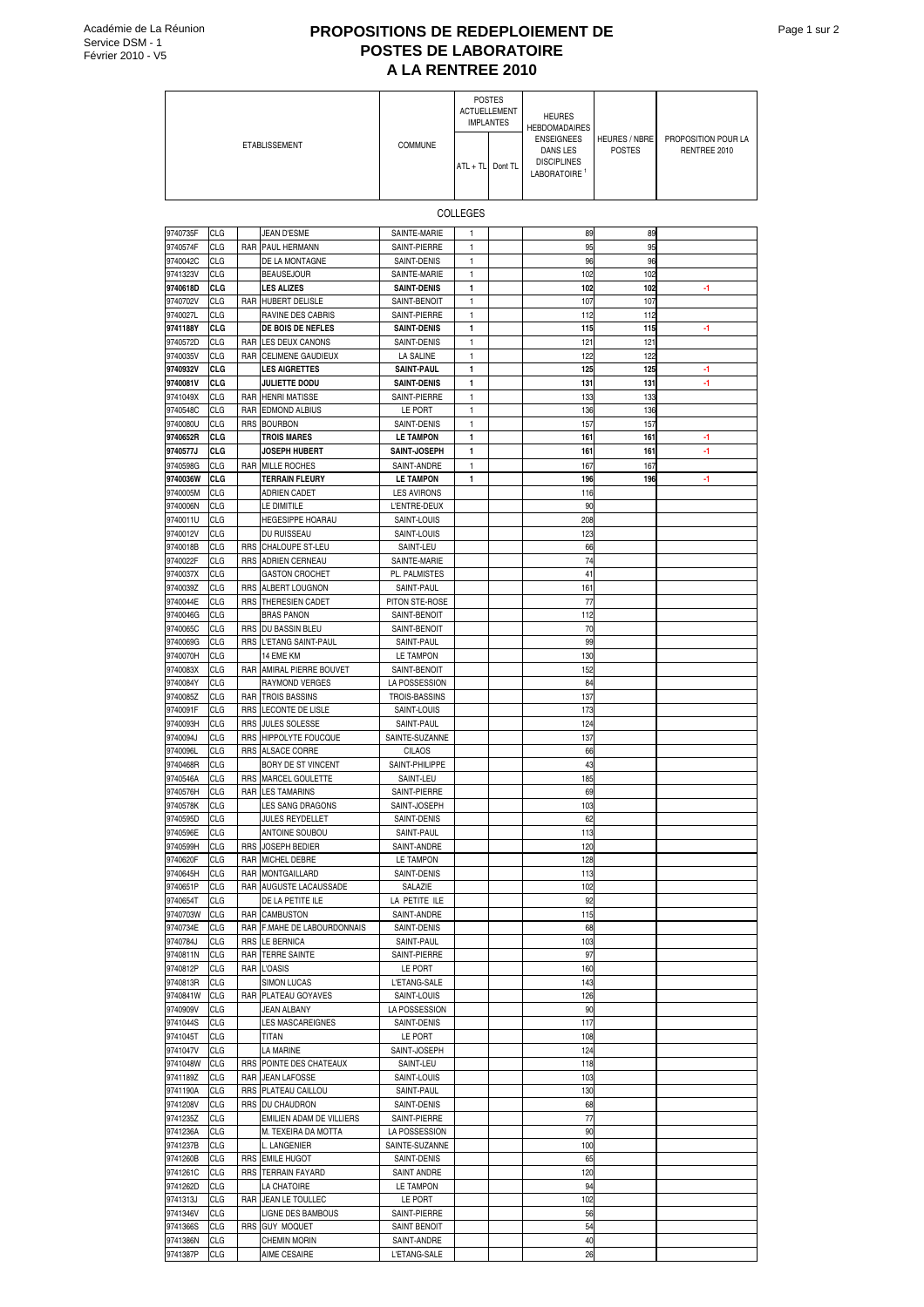## **PROPOSITIONS DE REDEPLOIEMENT DE POSTES DE LABORATOIRE A LA RENTREE 2010**

| A LA RENTREE 2010    |                          |            |                                                    |                                    |                                                          |  |                                                                                                                          |                                       |                                     |
|----------------------|--------------------------|------------|----------------------------------------------------|------------------------------------|----------------------------------------------------------|--|--------------------------------------------------------------------------------------------------------------------------|---------------------------------------|-------------------------------------|
|                      |                          |            |                                                    |                                    | <b>POSTES</b><br><b>ACTUELLEMENT</b><br><b>IMPLANTES</b> |  | <b>HEURES</b><br><b>HEBDOMADAIRES</b><br><b>ENSEIGNEES</b><br>DANS LES<br><b>DISCIPLINES</b><br>LABORATOIRE <sup>1</sup> | <b>HEURES / NBRE</b><br><b>POSTES</b> | PROPOSITION POUR LA<br>RENTREE 2010 |
| <b>ETABLISSEMENT</b> |                          |            | <b>COMMUNE</b>                                     | ATL + TL Dont TL                   |                                                          |  |                                                                                                                          |                                       |                                     |
|                      | <b>COLLEGES</b>          |            |                                                    |                                    |                                                          |  |                                                                                                                          |                                       |                                     |
| 9740735F             | CLG                      |            | JEAN D'ESME                                        | SAINTE-MARIE                       | 1                                                        |  | 89                                                                                                                       | 89                                    |                                     |
| 9740574F             | CLG                      | RAR        | PAUL HERMANN                                       | SAINT-PIERRE                       | $\mathbf{1}$                                             |  | 95                                                                                                                       | 95                                    |                                     |
| 9740042C             | CLG                      |            | DE LA MONTAGNE                                     | SAINT-DENIS                        | 1                                                        |  | 96                                                                                                                       | 96                                    |                                     |
| 9741323V<br>9740618D | CLG<br>CI G              |            | <b>BEAUSEJOUR</b><br><b>LES ALIZES</b>             | SAINTE-MARIE<br><b>SAINT-DENIS</b> | 1<br>$\mathbf{1}$                                        |  | 102<br>102                                                                                                               | 102<br>102                            | -1                                  |
| 9740702V             | CLG                      |            | RAR HUBERT DELISLE                                 | SAINT-BENOIT                       | $\mathbf{1}$                                             |  | 107                                                                                                                      | 107                                   |                                     |
| 9740027L             | CLG                      |            | <b>RAVINE DES CABRIS</b>                           | SAINT-PIERRE                       | 1                                                        |  | 112                                                                                                                      | 112                                   |                                     |
| 9741188Y             | CLG                      |            | DE BOIS DE NEFLES                                  | <b>SAINT-DENIS</b>                 | 1                                                        |  | 115                                                                                                                      | 115                                   | -1                                  |
| 9740572D<br>9740035V | <b>CLG</b><br>CLG        | RAR<br>RAR | <b>LES DEUX CANONS</b><br><b>CELIMENE GAUDIEUX</b> | SAINT-DENIS<br><b>LA SALINE</b>    | 1<br>$\mathbf{1}$                                        |  | 121<br>122                                                                                                               | 121<br>122                            |                                     |
| 9740932V             | <b>CLG</b>               |            | <b>LES AIGRETTES</b>                               | <b>SAINT-PAUL</b>                  | $\mathbf{1}$                                             |  | 125                                                                                                                      | 125                                   | -1                                  |
| 9740081V             | CI G                     |            | <b>JULIETTE DODU</b>                               | <b>SAINT-DENIS</b>                 | 1                                                        |  | 131                                                                                                                      | 131                                   | -1                                  |
| 9741049X             | CLG                      | RAR        | <b>HENRI MATISSE</b>                               | SAINT-PIERRE                       | 1                                                        |  | 133                                                                                                                      | 133                                   |                                     |
| 9740548C             | CLG                      | RAR        | <b>EDMOND ALBIUS</b>                               | LE PORT                            | 1                                                        |  | 136                                                                                                                      | 136                                   |                                     |
| 9740080U<br>9740652R | CLG<br>CI G              | RRS        | <b>BOURBON</b><br><b>TROIS MARES</b>               | SAINT-DENIS<br><b>LE TAMPON</b>    | $\mathbf{1}$<br>1                                        |  | 157<br>161                                                                                                               | 157<br>161                            | -1                                  |
| 9740577J             | <b>CLG</b>               |            | <b>JOSEPH HUBERT</b>                               | SAINT-JOSEPH                       | 1                                                        |  | 161                                                                                                                      | 161                                   | -1                                  |
| 9740598G             | CLG                      | RAR        | <b>MILLE ROCHES</b>                                | SAINT-ANDRE                        | 1                                                        |  | 167                                                                                                                      | 167                                   |                                     |
| 9740036W             | <b>CLG</b>               |            | <b>TERRAIN FLEURY</b>                              | <b>LE TAMPON</b>                   | 1                                                        |  | 196                                                                                                                      | 196                                   | -1                                  |
| 9740005M             | CLG                      |            | <b>ADRIEN CADET</b>                                | <b>LES AVIRONS</b>                 |                                                          |  | 116                                                                                                                      |                                       |                                     |
| 9740006N<br>9740011U | CLG<br>CLG               |            | LE DIMITILE<br><b>HEGESIPPE HOARAU</b>             | L'ENTRE-DEUX<br>SAINT-LOUIS        |                                                          |  | 90<br>208                                                                                                                |                                       |                                     |
| 9740012V             | CLG                      |            | DU RUISSEAU                                        | SAINT-LOUIS                        |                                                          |  | 123                                                                                                                      |                                       |                                     |
| 9740018B             | CLG                      | RRS        | <b>CHALOUPE ST-LEU</b>                             | SAINT-LEU                          |                                                          |  | 66                                                                                                                       |                                       |                                     |
| 9740022F             | CLG                      | RRS        | <b>ADRIEN CERNEAU</b>                              | SAINTE-MARIE                       |                                                          |  | 74                                                                                                                       |                                       |                                     |
| 9740037X<br>9740039Z | CLG<br>CLG               | <b>RRS</b> | <b>GASTON CROCHET</b><br>ALBERT LOUGNON            | PL. PALMISTES<br>SAINT-PAUL        |                                                          |  | 41<br>161                                                                                                                |                                       |                                     |
| 9740044E             | CLG                      | <b>RRS</b> | THERESIEN CADET                                    | PITON STE-ROSE                     |                                                          |  | 77                                                                                                                       |                                       |                                     |
| 9740046G             | CLG                      |            | <b>BRAS PANON</b>                                  | SAINT-BENOIT                       |                                                          |  | 112                                                                                                                      |                                       |                                     |
| 9740065C             | CLG                      | <b>RRS</b> | DU BASSIN BLEU                                     | SAINT-BENOIT                       |                                                          |  | 70                                                                                                                       |                                       |                                     |
| 9740069G             | CLG                      | RRS        | L'ETANG SAINT-PAUL                                 | SAINT-PAUL                         |                                                          |  | 99                                                                                                                       |                                       |                                     |
| 9740070H<br>9740083X | CLG<br>CLG               | RAR        | 14 EME KM<br>AMIRAL PIERRE BOUVET                  | <b>LE TAMPON</b><br>SAINT-BENOIT   |                                                          |  | 130<br>152                                                                                                               |                                       |                                     |
| 9740084Y             | <b>CLG</b>               |            | RAYMOND VERGES                                     | LA POSSESSION                      |                                                          |  | 84                                                                                                                       |                                       |                                     |
| 9740085Z             | CLG                      | RAR        | <b>TROIS BASSINS</b>                               | TROIS-BASSINS                      |                                                          |  | 137                                                                                                                      |                                       |                                     |
| 9740091F             | CLG                      | RRS        | LECONTE DE LISLE                                   | SAINT-LOUIS                        |                                                          |  | 173                                                                                                                      |                                       |                                     |
| 9740093H<br>9740094J | CLG<br>CLG               | RRS<br>RRS | <b>JULES SOLESSE</b><br><b>HIPPOLYTE FOUCQUE</b>   | SAINT-PAUL<br>SAINTE-SUZANNE       |                                                          |  | 124<br>137                                                                                                               |                                       |                                     |
| 9740096L             | CLG                      | <b>RRS</b> | <b>ALSACE CORRE</b>                                | <b>CILAOS</b>                      |                                                          |  | 66                                                                                                                       |                                       |                                     |
| 9740468R             | CLG                      |            | BORY DE ST VINCENT                                 | SAINT-PHILIPPE                     |                                                          |  | 43                                                                                                                       |                                       |                                     |
| 9740546A             | CLG                      |            | RRS MARCEL GOULETTE                                | SAINT-LEU                          |                                                          |  | 185                                                                                                                      |                                       |                                     |
| 9740576H<br>9740578K | CLG<br><b>CLG</b>        |            | RAR LES TAMARINS<br>LES SANG DRAGONS               | SAINT-PIERRE<br>SAINT-JOSEPH       |                                                          |  | 69<br>103                                                                                                                |                                       |                                     |
| 9740595D             | <b>CLG</b>               |            | JULES REYDELLET                                    | SAINT-DENIS                        |                                                          |  | 62                                                                                                                       |                                       |                                     |
| 9740596E             | <b>CLG</b>               |            | <b>ANTOINE SOUBOU</b>                              | SAINT-PAUL                         |                                                          |  | 113                                                                                                                      |                                       |                                     |
| 9740599H             | <b>CLG</b>               |            | RRS JOSEPH BEDIER                                  | SAINT-ANDRE                        |                                                          |  | 120                                                                                                                      |                                       |                                     |
| 9740620F             | CLG                      |            | RAR MICHEL DEBRE                                   | LE TAMPON                          |                                                          |  | 128                                                                                                                      |                                       |                                     |
| 9740645H<br>9740651P | <b>CLG</b><br><b>CLG</b> |            | RAR MONTGAILLARD<br>RAR AUGUSTE LACAUSSADE         | SAINT-DENIS<br>SALAZIE             |                                                          |  | 113<br>102                                                                                                               |                                       |                                     |
| 9740654T             | <b>CLG</b>               |            | DE LA PETITE ILE                                   | LA PETITE ILE                      |                                                          |  | 92                                                                                                                       |                                       |                                     |
| 9740703W             | <b>CLG</b>               |            | RAR CAMBUSTON                                      | SAINT-ANDRE                        |                                                          |  | 115                                                                                                                      |                                       |                                     |
| 9740734E             | CLG                      |            | RAR F.MAHE DE LABOURDONNAIS                        | SAINT-DENIS                        |                                                          |  | 68                                                                                                                       |                                       |                                     |
| 9740784J<br>9740811N | <b>CLG</b><br>CLG        |            | RRS LE BERNICA<br>RAR TERRE SAINTE                 | SAINT-PAUL<br>SAINT-PIERRE         |                                                          |  | 103<br>97                                                                                                                |                                       |                                     |
| 9740812P             | CLG                      |            | RAR L'OASIS                                        | LE PORT                            |                                                          |  | 160                                                                                                                      |                                       |                                     |
| 9740813R             | <b>CLG</b>               |            | <b>SIMON LUCAS</b>                                 | L'ETANG-SALE                       |                                                          |  | 143                                                                                                                      |                                       |                                     |
| 9740841W             | CLG                      |            | RAR PLATEAU GOYAVES                                | SAINT-LOUIS                        |                                                          |  | 126                                                                                                                      |                                       |                                     |
| 9740909V<br>9741044S | CLG<br><b>CLG</b>        |            | JEAN ALBANY<br><b>LES MASCAREIGNES</b>             | LA POSSESSION<br>SAINT-DENIS       |                                                          |  | 90<br>117                                                                                                                |                                       |                                     |
| 9741045T             | CLG                      |            | TITAN                                              | LE PORT                            |                                                          |  | 108                                                                                                                      |                                       |                                     |
| 9741047V             | <b>CLG</b>               |            | LA MARINE                                          | SAINT-JOSEPH                       |                                                          |  | 124                                                                                                                      |                                       |                                     |
| 9741048W             | CLG                      |            | RRS POINTE DES CHATEAUX                            | SAINT-LEU                          |                                                          |  | 118                                                                                                                      |                                       |                                     |
| 9741189Z<br>9741190A | <b>CLG</b><br>CLG        |            | RAR JEAN LAFOSSE<br>RRS PLATEAU CAILLOU            | SAINT-LOUIS<br>SAINT-PAUL          |                                                          |  | 103<br>130                                                                                                               |                                       |                                     |
| 9741208V             | <b>CLG</b>               |            | RRS DU CHAUDRON                                    | SAINT-DENIS                        |                                                          |  | 68                                                                                                                       |                                       |                                     |
| 9741235Z             | <b>CLG</b>               |            | EMILIEN ADAM DE VILLIERS                           | SAINT-PIERRE                       |                                                          |  | 77                                                                                                                       |                                       |                                     |
| 9741236A             | CLG                      |            | M. TEXEIRA DA MOTTA                                | LA POSSESSION                      |                                                          |  | 90                                                                                                                       |                                       |                                     |
| 9741237B             | <b>CLG</b>               |            | L. LANGENIER                                       | SAINTE-SUZANNE                     |                                                          |  | 100                                                                                                                      |                                       |                                     |
| 9741260B<br>9741261C | CLG<br><b>CLG</b>        |            | RRS EMILE HUGOT<br>RRS TERRAIN FAYARD              | SAINT-DENIS<br>SAINT ANDRE         |                                                          |  | 65<br>120                                                                                                                |                                       |                                     |
| 9741262D             | CLG                      |            | LA CHATOIRE                                        | LE TAMPON                          |                                                          |  | 94                                                                                                                       |                                       |                                     |
| 9741313J             | CLG                      |            | RAR JEAN LE TOULLEC                                | LE PORT                            |                                                          |  | 102                                                                                                                      |                                       |                                     |
| 9741346V             | CLG                      |            | LIGNE DES BAMBOUS                                  | SAINT-PIERRE                       |                                                          |  | 56                                                                                                                       |                                       |                                     |
| 9741366S<br>9741386N | <b>CLG</b><br>CLG        |            | RRS GUY MOQUET<br><b>CHEMIN MORIN</b>              | <b>SAINT BENOIT</b><br>SAINT-ANDRE |                                                          |  | 54<br>40                                                                                                                 |                                       |                                     |
| 9741387P             | CLG                      |            | AIME CESAIRE                                       | L'ETANG-SALE                       |                                                          |  | 26                                                                                                                       |                                       |                                     |